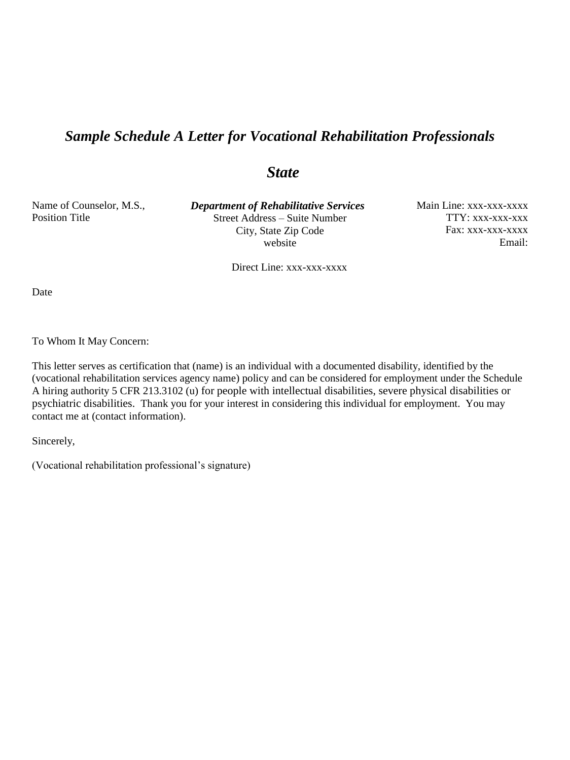## *Sample Schedule A Letter for Vocational Rehabilitation Professionals*

## *State*

Name of Counselor, M.S., Position Title

 *Department of Rehabilitative Services* Street Address – Suite Number City, State Zip Code website

Main Line: xxx-xxx-xxxx TTY: xxx-xxx-xxx Fax: xxx-xxx-xxxx Email:

Direct Line: xxx-xxx-xxxx

Date

To Whom It May Concern:

This letter serves as certification that (name) is an individual with a documented disability, identified by the (vocational rehabilitation services agency name) policy and can be considered for employment under the Schedule A hiring authority 5 CFR 213.3102 (u) for people with intellectual disabilities, severe physical disabilities or psychiatric disabilities. Thank you for your interest in considering this individual for employment. You may contact me at (contact information).

Sincerely,

(Vocational rehabilitation professional's signature)